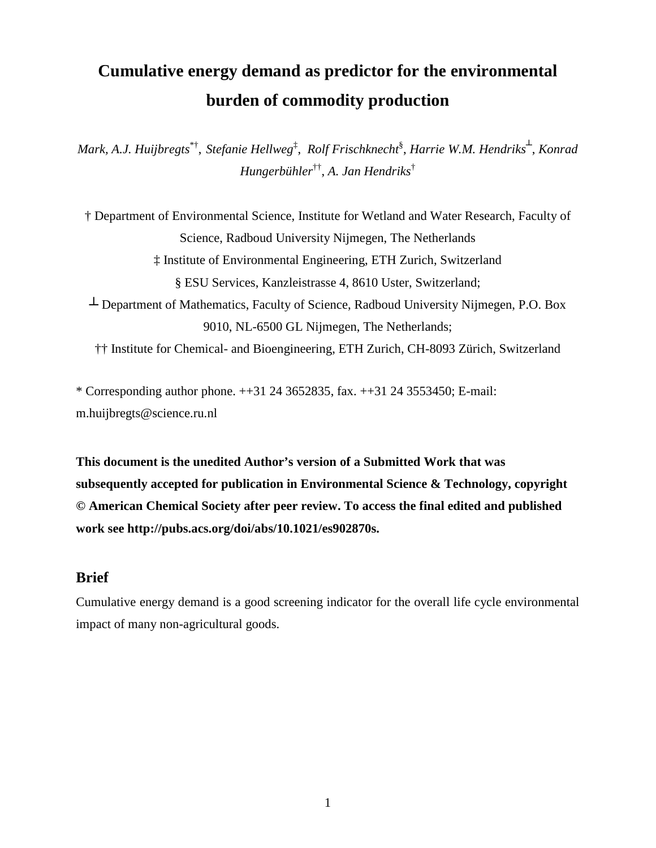# **Cumulative energy demand as predictor for the environmental burden of commodity production**

 $Mark, A.J. Huijbregts<sup>*</sup>, Stefanie Hellweg<sup>‡</sup>, Rolf Frischknecht<sup>§</sup>, Harrie W.M. Hendriks<sup>⊥</sup>, Konrad$ *Hungerbühler*†† , *A. Jan Hendriks*†

† Department of Environmental Science, Institute for Wetland and Water Research, Faculty of Science, Radboud University Nijmegen, The Netherlands ‡ Institute of Environmental Engineering, ETH Zurich, Switzerland § ESU Services, Kanzleistrasse 4, 8610 Uster, Switzerland; ┴ Department of Mathematics, Faculty of Science, Radboud University Nijmegen, P.O. Box 9010, NL-6500 GL Nijmegen, The Netherlands; †† Institute for Chemical- and Bioengineering, ETH Zurich, CH-8093 Zürich, Switzerland

\* Corresponding author phone. ++31 24 3652835, fax. ++31 24 3553450; E-mail:

m.huijbregts@science.ru.nl

**This document is the unedited Author's version of a Submitted Work that was subsequently accepted for publication in Environmental Science & Technology, copyright © American Chemical Society after peer review. To access the final edited and published work see http://pubs.acs.org/doi/abs/10.1021/es902870s.**

### **Brief**

Cumulative energy demand is a good screening indicator for the overall life cycle environmental impact of many non-agricultural goods.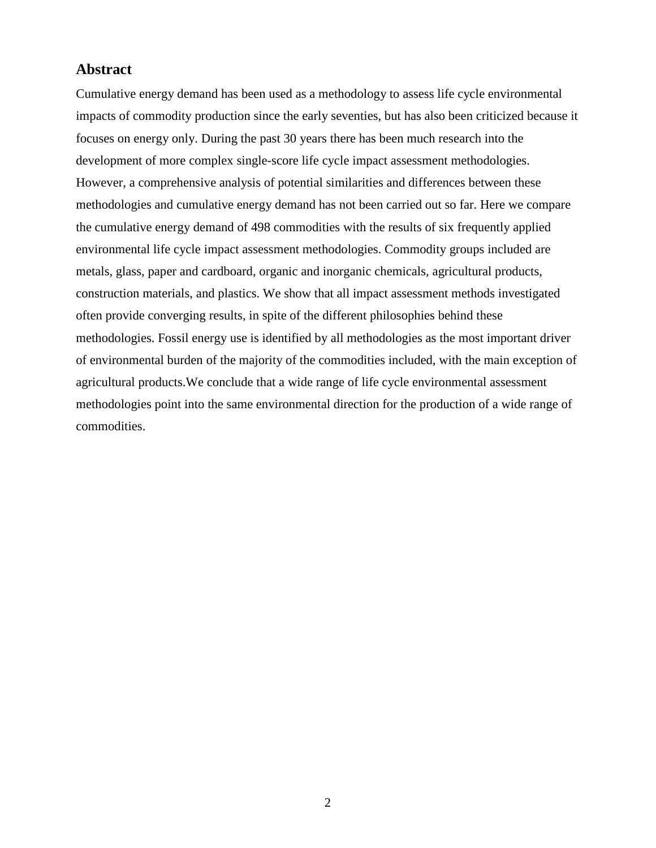#### **Abstract**

Cumulative energy demand has been used as a methodology to assess life cycle environmental impacts of commodity production since the early seventies, but has also been criticized because it focuses on energy only. During the past 30 years there has been much research into the development of more complex single-score life cycle impact assessment methodologies. However, a comprehensive analysis of potential similarities and differences between these methodologies and cumulative energy demand has not been carried out so far. Here we compare the cumulative energy demand of 498 commodities with the results of six frequently applied environmental life cycle impact assessment methodologies. Commodity groups included are metals, glass, paper and cardboard, organic and inorganic chemicals, agricultural products, construction materials, and plastics. We show that all impact assessment methods investigated often provide converging results, in spite of the different philosophies behind these methodologies. Fossil energy use is identified by all methodologies as the most important driver of environmental burden of the majority of the commodities included, with the main exception of agricultural products.We conclude that a wide range of life cycle environmental assessment methodologies point into the same environmental direction for the production of a wide range of commodities.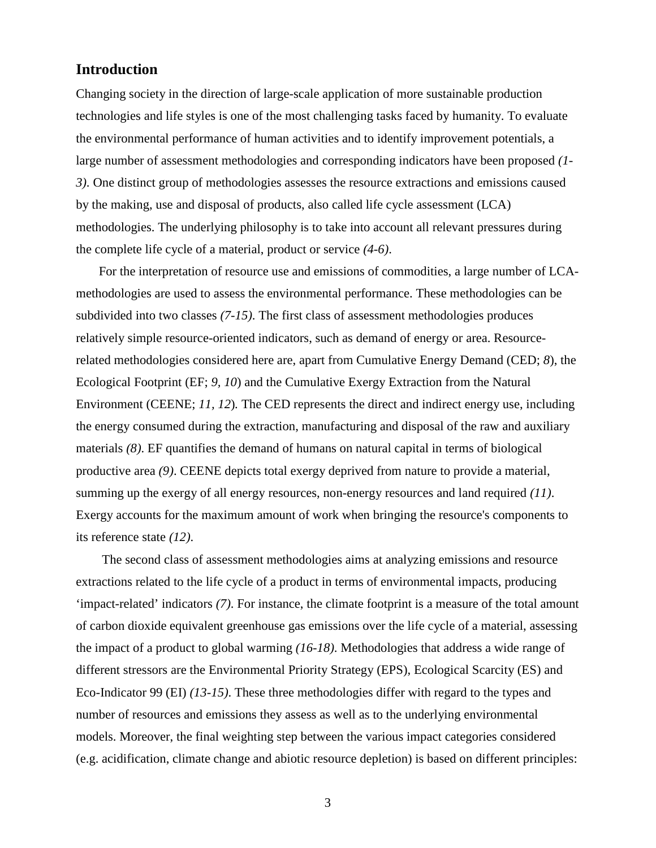# **Introduction**

Changing society in the direction of large-scale application of more sustainable production technologies and life styles is one of the most challenging tasks faced by humanity. To evaluate the environmental performance of human activities and to identify improvement potentials, a large number of assessment methodologies and corresponding indicators have been proposed *(1- 3)*. One distinct group of methodologies assesses the resource extractions and emissions caused by the making, use and disposal of products, also called life cycle assessment (LCA) methodologies. The underlying philosophy is to take into account all relevant pressures during the complete life cycle of a material, product or service *(4-6)*.

For the interpretation of resource use and emissions of commodities, a large number of LCAmethodologies are used to assess the environmental performance. These methodologies can be subdivided into two classes *(7-15)*. The first class of assessment methodologies produces relatively simple resource-oriented indicators, such as demand of energy or area. Resourcerelated methodologies considered here are, apart from Cumulative Energy Demand (CED; *8*), the Ecological Footprint (EF; *9, 10*) and the Cumulative Exergy Extraction from the Natural Environment (CEENE; *11, 12*)*.* The CED represents the direct and indirect energy use, including the energy consumed during the extraction, manufacturing and disposal of the raw and auxiliary materials *(8)*. EF quantifies the demand of humans on natural capital in terms of biological productive area *(9)*. CEENE depicts total exergy deprived from nature to provide a material, summing up the exergy of all energy resources, non-energy resources and land required *(11)*. Exergy accounts for the maximum amount of work when bringing the resource's components to its reference state *(12)*.

 The second class of assessment methodologies aims at analyzing emissions and resource extractions related to the life cycle of a product in terms of environmental impacts, producing 'impact-related' indicators *(7)*. For instance, the climate footprint is a measure of the total amount of carbon dioxide equivalent greenhouse gas emissions over the life cycle of a material, assessing the impact of a product to global warming *(16-18)*. Methodologies that address a wide range of different stressors are the Environmental Priority Strategy (EPS), Ecological Scarcity (ES) and Eco-Indicator 99 (EI) *(13-15)*. These three methodologies differ with regard to the types and number of resources and emissions they assess as well as to the underlying environmental models. Moreover, the final weighting step between the various impact categories considered (e.g. acidification, climate change and abiotic resource depletion) is based on different principles: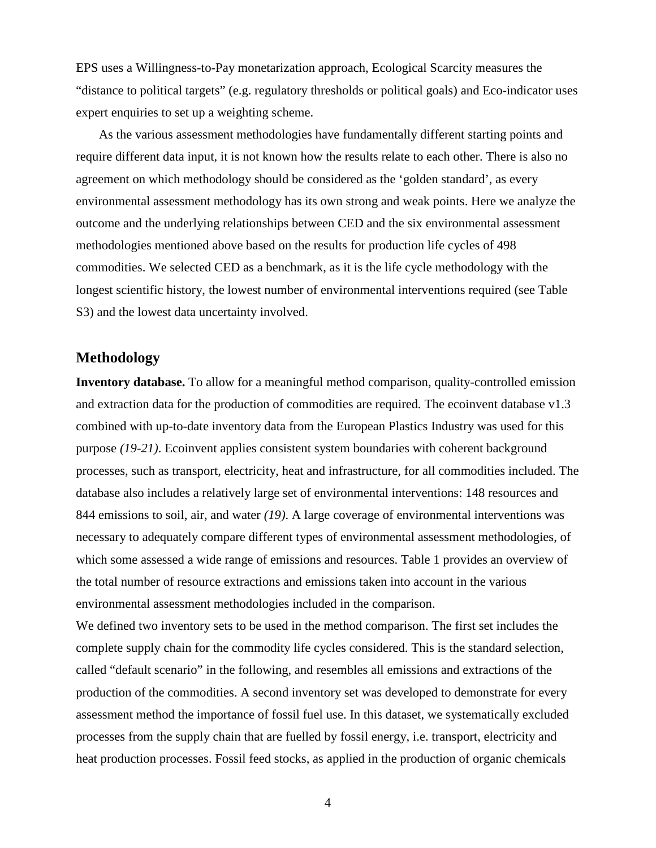EPS uses a Willingness-to-Pay monetarization approach, Ecological Scarcity measures the "distance to political targets" (e.g. regulatory thresholds or political goals) and Eco-indicator uses expert enquiries to set up a weighting scheme.

As the various assessment methodologies have fundamentally different starting points and require different data input, it is not known how the results relate to each other. There is also no agreement on which methodology should be considered as the 'golden standard', as every environmental assessment methodology has its own strong and weak points. Here we analyze the outcome and the underlying relationships between CED and the six environmental assessment methodologies mentioned above based on the results for production life cycles of 498 commodities. We selected CED as a benchmark, as it is the life cycle methodology with the longest scientific history, the lowest number of environmental interventions required (see Table S3) and the lowest data uncertainty involved.

#### **Methodology**

**Inventory database.** To allow for a meaningful method comparison, quality-controlled emission and extraction data for the production of commodities are required*.* The ecoinvent database v1.3 combined with up-to-date inventory data from the European Plastics Industry was used for this purpose *(19-21)*. Ecoinvent applies consistent system boundaries with coherent background processes, such as transport, electricity, heat and infrastructure, for all commodities included. The database also includes a relatively large set of environmental interventions: 148 resources and 844 emissions to soil, air, and water *(19)*. A large coverage of environmental interventions was necessary to adequately compare different types of environmental assessment methodologies, of which some assessed a wide range of emissions and resources. Table 1 provides an overview of the total number of resource extractions and emissions taken into account in the various environmental assessment methodologies included in the comparison.

We defined two inventory sets to be used in the method comparison. The first set includes the complete supply chain for the commodity life cycles considered. This is the standard selection, called "default scenario" in the following, and resembles all emissions and extractions of the production of the commodities. A second inventory set was developed to demonstrate for every assessment method the importance of fossil fuel use. In this dataset, we systematically excluded processes from the supply chain that are fuelled by fossil energy, i.e. transport, electricity and heat production processes. Fossil feed stocks, as applied in the production of organic chemicals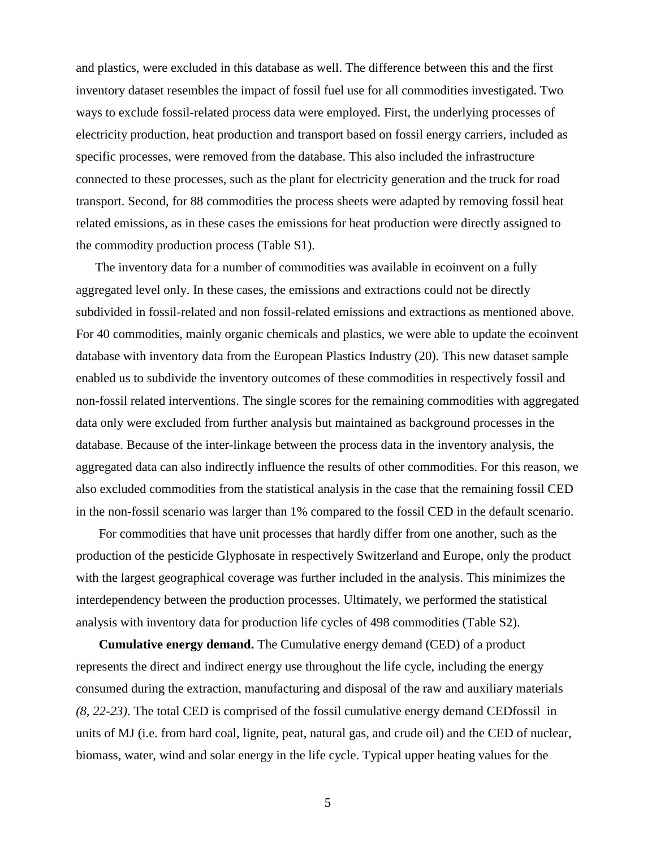and plastics, were excluded in this database as well. The difference between this and the first inventory dataset resembles the impact of fossil fuel use for all commodities investigated. Two ways to exclude fossil-related process data were employed. First, the underlying processes of electricity production, heat production and transport based on fossil energy carriers, included as specific processes, were removed from the database. This also included the infrastructure connected to these processes, such as the plant for electricity generation and the truck for road transport. Second, for 88 commodities the process sheets were adapted by removing fossil heat related emissions, as in these cases the emissions for heat production were directly assigned to the commodity production process (Table S1).

The inventory data for a number of commodities was available in ecoinvent on a fully aggregated level only. In these cases, the emissions and extractions could not be directly subdivided in fossil-related and non fossil-related emissions and extractions as mentioned above. For 40 commodities, mainly organic chemicals and plastics, we were able to update the ecoinvent database with inventory data from the European Plastics Industry (20). This new dataset sample enabled us to subdivide the inventory outcomes of these commodities in respectively fossil and non-fossil related interventions. The single scores for the remaining commodities with aggregated data only were excluded from further analysis but maintained as background processes in the database. Because of the inter-linkage between the process data in the inventory analysis, the aggregated data can also indirectly influence the results of other commodities. For this reason, we also excluded commodities from the statistical analysis in the case that the remaining fossil CED in the non-fossil scenario was larger than 1% compared to the fossil CED in the default scenario.

For commodities that have unit processes that hardly differ from one another, such as the production of the pesticide Glyphosate in respectively Switzerland and Europe, only the product with the largest geographical coverage was further included in the analysis. This minimizes the interdependency between the production processes. Ultimately, we performed the statistical analysis with inventory data for production life cycles of 498 commodities (Table S2).

**Cumulative energy demand.** The Cumulative energy demand (CED) of a product represents the direct and indirect energy use throughout the life cycle, including the energy consumed during the extraction, manufacturing and disposal of the raw and auxiliary materials *(8, 22-23)*. The total CED is comprised of the fossil cumulative energy demand CEDfossil in units of MJ (i.e. from hard coal, lignite, peat, natural gas, and crude oil) and the CED of nuclear, biomass, water, wind and solar energy in the life cycle. Typical upper heating values for the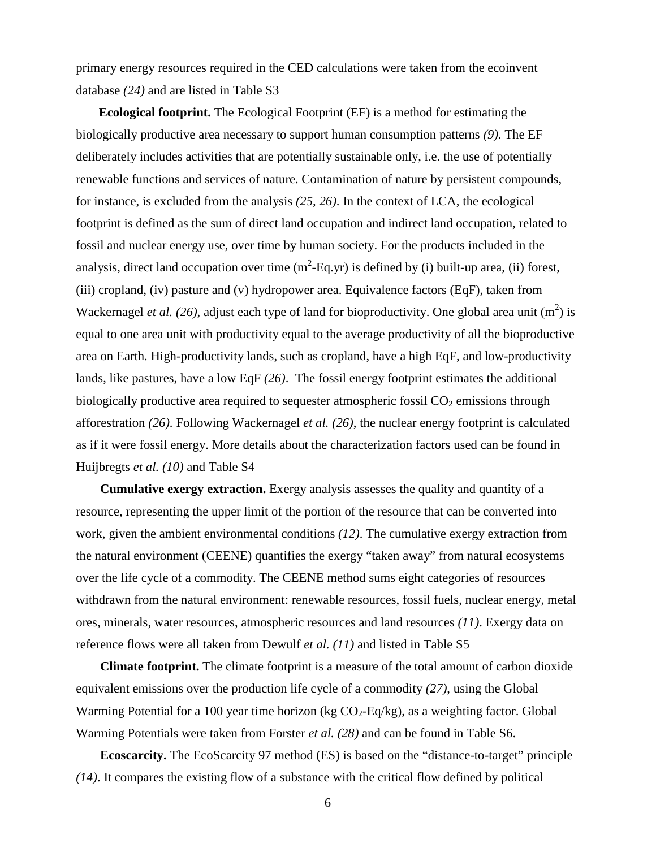primary energy resources required in the CED calculations were taken from the ecoinvent database *(24)* and are listed in Table S3

**Ecological footprint.** The Ecological Footprint (EF) is a method for estimating the biologically productive area necessary to support human consumption patterns *(9)*. The EF deliberately includes activities that are potentially sustainable only, i.e. the use of potentially renewable functions and services of nature. Contamination of nature by persistent compounds, for instance, is excluded from the analysis *(25, 26)*. In the context of LCA, the ecological footprint is defined as the sum of direct land occupation and indirect land occupation, related to fossil and nuclear energy use, over time by human society. For the products included in the analysis, direct land occupation over time  $(m^2 - Eq. yr)$  is defined by (i) built-up area, (ii) forest, (iii) cropland, (iv) pasture and (v) hydropower area. Equivalence factors (EqF), taken from Wackernagel *et al.* (26), adjust each type of land for bioproductivity. One global area unit  $(m^2)$  is equal to one area unit with productivity equal to the average productivity of all the bioproductive area on Earth. High-productivity lands, such as cropland, have a high EqF, and low-productivity lands, like pastures, have a low EqF *(26)*. The fossil energy footprint estimates the additional biologically productive area required to sequester atmospheric fossil  $CO<sub>2</sub>$  emissions through afforestration *(26)*. Following Wackernagel *et al. (26)*, the nuclear energy footprint is calculated as if it were fossil energy. More details about the characterization factors used can be found in Huijbregts *et al. (10)* and Table S4

**Cumulative exergy extraction.** Exergy analysis assesses the quality and quantity of a resource, representing the upper limit of the portion of the resource that can be converted into work, given the ambient environmental conditions *(12)*. The cumulative exergy extraction from the natural environment (CEENE) quantifies the exergy "taken away" from natural ecosystems over the life cycle of a commodity. The CEENE method sums eight categories of resources withdrawn from the natural environment: renewable resources, fossil fuels, nuclear energy, metal ores, minerals, water resources, atmospheric resources and land resources *(11)*. Exergy data on reference flows were all taken from Dewulf *et al. (11)* and listed in Table S5

**Climate footprint.** The climate footprint is a measure of the total amount of carbon dioxide equivalent emissions over the production life cycle of a commodity *(27)*, using the Global Warming Potential for a 100 year time horizon (kg  $CO<sub>2</sub>$ -Eq/kg), as a weighting factor. Global Warming Potentials were taken from Forster *et al. (28)* and can be found in Table S6.

**Ecoscarcity.** The EcoScarcity 97 method (ES) is based on the "distance-to-target" principle *(14)*. It compares the existing flow of a substance with the critical flow defined by political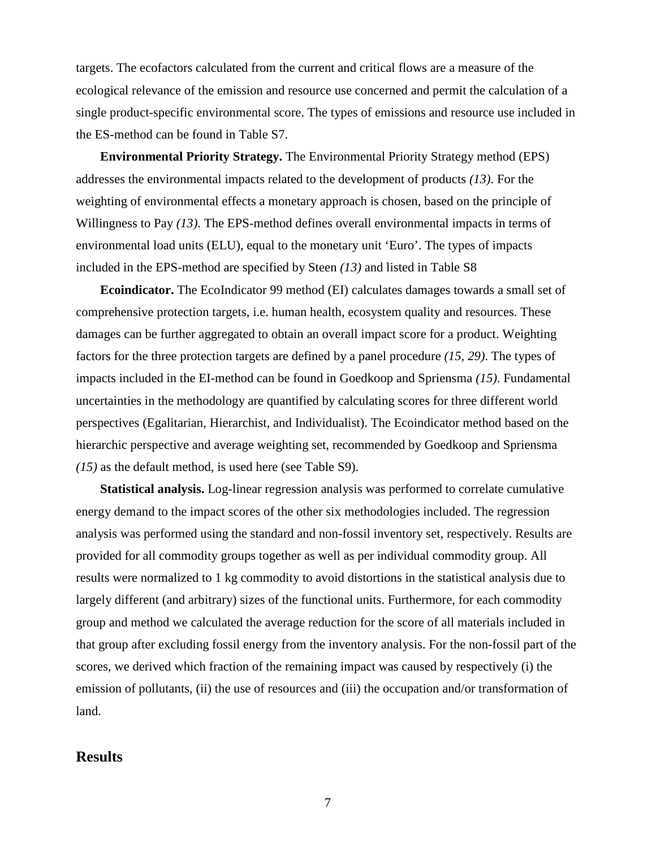targets. The ecofactors calculated from the current and critical flows are a measure of the ecological relevance of the emission and resource use concerned and permit the calculation of a single product-specific environmental score. The types of emissions and resource use included in the ES-method can be found in Table S7.

**Environmental Priority Strategy.** The Environmental Priority Strategy method (EPS) addresses the environmental impacts related to the development of products *(13)*. For the weighting of environmental effects a monetary approach is chosen, based on the principle of Willingness to Pay *(13)*. The EPS-method defines overall environmental impacts in terms of environmental load units (ELU), equal to the monetary unit 'Euro'. The types of impacts included in the EPS-method are specified by Steen *(13)* and listed in Table S8

**Ecoindicator.** The EcoIndicator 99 method (EI) calculates damages towards a small set of comprehensive protection targets, i.e. human health, ecosystem quality and resources. These damages can be further aggregated to obtain an overall impact score for a product. Weighting factors for the three protection targets are defined by a panel procedure *(15, 29)*. The types of impacts included in the EI-method can be found in Goedkoop and Spriensma *(15)*. Fundamental uncertainties in the methodology are quantified by calculating scores for three different world perspectives (Egalitarian, Hierarchist, and Individualist). The Ecoindicator method based on the hierarchic perspective and average weighting set, recommended by Goedkoop and Spriensma *(15)* as the default method, is used here (see Table S9).

**Statistical analysis.** Log-linear regression analysis was performed to correlate cumulative energy demand to the impact scores of the other six methodologies included. The regression analysis was performed using the standard and non-fossil inventory set, respectively. Results are provided for all commodity groups together as well as per individual commodity group. All results were normalized to 1 kg commodity to avoid distortions in the statistical analysis due to largely different (and arbitrary) sizes of the functional units. Furthermore, for each commodity group and method we calculated the average reduction for the score of all materials included in that group after excluding fossil energy from the inventory analysis. For the non-fossil part of the scores, we derived which fraction of the remaining impact was caused by respectively (i) the emission of pollutants, (ii) the use of resources and (iii) the occupation and/or transformation of land.

## **Results**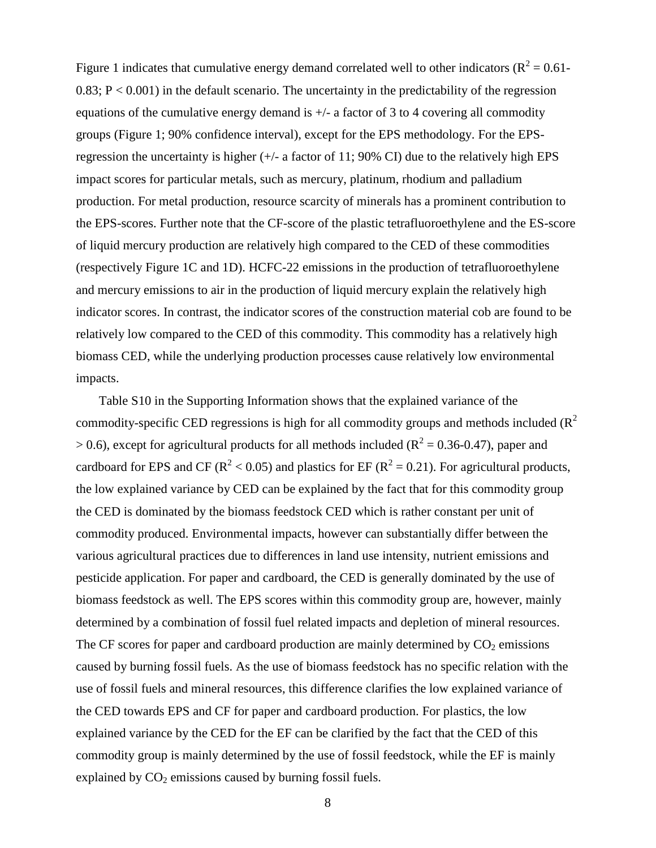Figure 1 indicates that cumulative energy demand correlated well to other indicators ( $R^2 = 0.61$ - $0.83$ ;  $P < 0.001$ ) in the default scenario. The uncertainty in the predictability of the regression equations of the cumulative energy demand is  $\pm/2$  a factor of 3 to 4 covering all commodity groups (Figure 1; 90% confidence interval), except for the EPS methodology. For the EPSregression the uncertainty is higher  $(+/- a$  factor of 11; 90% CI) due to the relatively high EPS impact scores for particular metals, such as mercury, platinum, rhodium and palladium production. For metal production, resource scarcity of minerals has a prominent contribution to the EPS-scores. Further note that the CF-score of the plastic tetrafluoroethylene and the ES-score of liquid mercury production are relatively high compared to the CED of these commodities (respectively Figure 1C and 1D). HCFC-22 emissions in the production of tetrafluoroethylene and mercury emissions to air in the production of liquid mercury explain the relatively high indicator scores. In contrast, the indicator scores of the construction material cob are found to be relatively low compared to the CED of this commodity. This commodity has a relatively high biomass CED, while the underlying production processes cause relatively low environmental impacts.

Table S10 in the Supporting Information shows that the explained variance of the commodity-specific CED regressions is high for all commodity groups and methods included  $(R^2)$  $> 0.6$ ), except for agricultural products for all methods included ( $R^2 = 0.36$ -0.47), paper and cardboard for EPS and CF ( $R^2$  < 0.05) and plastics for EF ( $R^2$  = 0.21). For agricultural products, the low explained variance by CED can be explained by the fact that for this commodity group the CED is dominated by the biomass feedstock CED which is rather constant per unit of commodity produced. Environmental impacts, however can substantially differ between the various agricultural practices due to differences in land use intensity, nutrient emissions and pesticide application. For paper and cardboard, the CED is generally dominated by the use of biomass feedstock as well. The EPS scores within this commodity group are, however, mainly determined by a combination of fossil fuel related impacts and depletion of mineral resources. The CF scores for paper and cardboard production are mainly determined by  $CO<sub>2</sub>$  emissions caused by burning fossil fuels. As the use of biomass feedstock has no specific relation with the use of fossil fuels and mineral resources, this difference clarifies the low explained variance of the CED towards EPS and CF for paper and cardboard production. For plastics, the low explained variance by the CED for the EF can be clarified by the fact that the CED of this commodity group is mainly determined by the use of fossil feedstock, while the EF is mainly explained by  $CO<sub>2</sub>$  emissions caused by burning fossil fuels.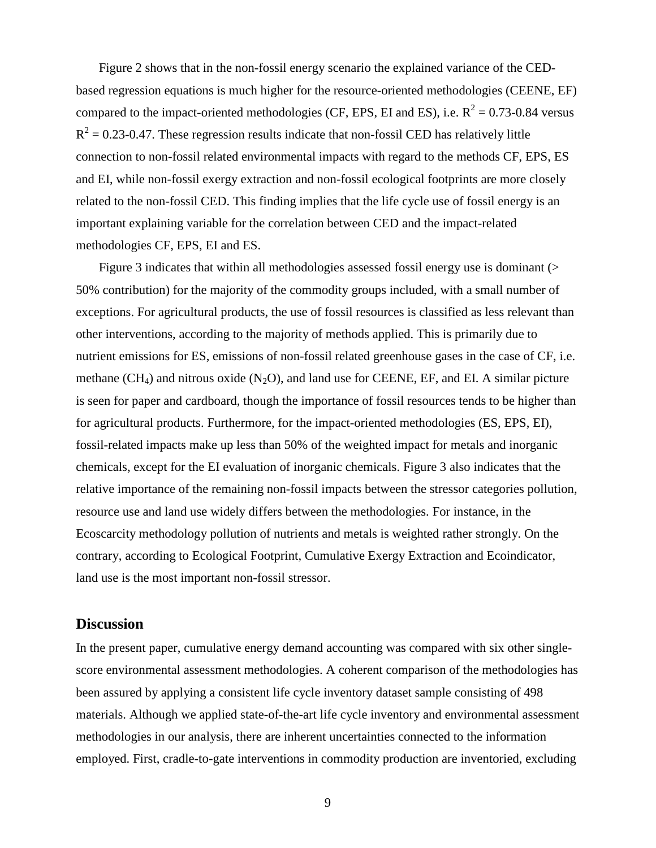Figure 2 shows that in the non-fossil energy scenario the explained variance of the CEDbased regression equations is much higher for the resource-oriented methodologies (CEENE, EF) compared to the impact-oriented methodologies (CF, EPS, EI and ES), i.e.  $R^2 = 0.73$ -0.84 versus  $R<sup>2</sup> = 0.23$ -0.47. These regression results indicate that non-fossil CED has relatively little connection to non-fossil related environmental impacts with regard to the methods CF, EPS, ES and EI, while non-fossil exergy extraction and non-fossil ecological footprints are more closely related to the non-fossil CED. This finding implies that the life cycle use of fossil energy is an important explaining variable for the correlation between CED and the impact-related methodologies CF, EPS, EI and ES.

Figure 3 indicates that within all methodologies assessed fossil energy use is dominant (> 50% contribution) for the majority of the commodity groups included, with a small number of exceptions. For agricultural products, the use of fossil resources is classified as less relevant than other interventions, according to the majority of methods applied. This is primarily due to nutrient emissions for ES, emissions of non-fossil related greenhouse gases in the case of CF, i.e. methane (CH<sub>4</sub>) and nitrous oxide (N<sub>2</sub>O), and land use for CEENE, EF, and EI. A similar picture is seen for paper and cardboard, though the importance of fossil resources tends to be higher than for agricultural products. Furthermore, for the impact-oriented methodologies (ES, EPS, EI), fossil-related impacts make up less than 50% of the weighted impact for metals and inorganic chemicals, except for the EI evaluation of inorganic chemicals. Figure 3 also indicates that the relative importance of the remaining non-fossil impacts between the stressor categories pollution, resource use and land use widely differs between the methodologies. For instance, in the Ecoscarcity methodology pollution of nutrients and metals is weighted rather strongly. On the contrary, according to Ecological Footprint, Cumulative Exergy Extraction and Ecoindicator, land use is the most important non-fossil stressor.

#### **Discussion**

In the present paper, cumulative energy demand accounting was compared with six other singlescore environmental assessment methodologies. A coherent comparison of the methodologies has been assured by applying a consistent life cycle inventory dataset sample consisting of 498 materials. Although we applied state-of-the-art life cycle inventory and environmental assessment methodologies in our analysis, there are inherent uncertainties connected to the information employed. First, cradle-to-gate interventions in commodity production are inventoried, excluding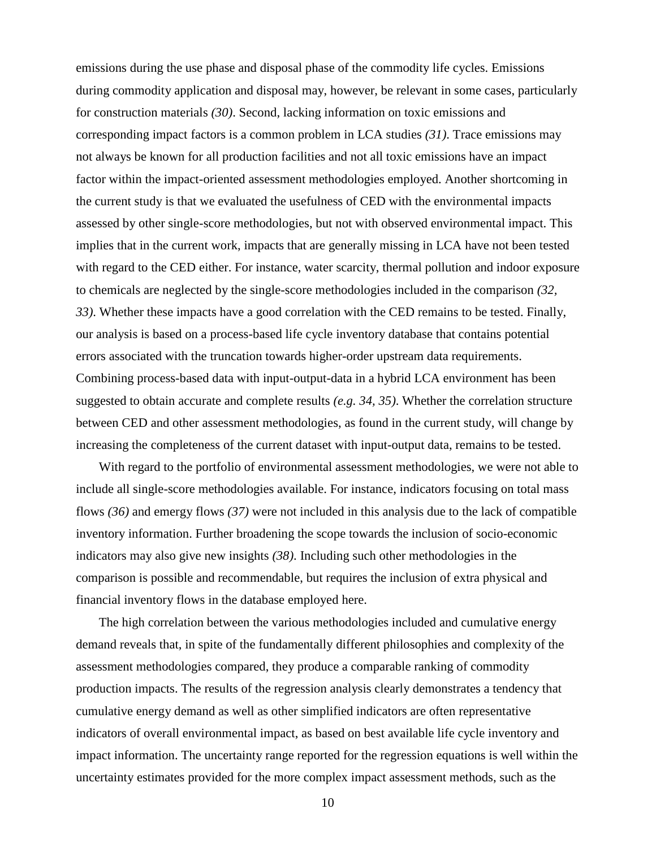emissions during the use phase and disposal phase of the commodity life cycles. Emissions during commodity application and disposal may, however, be relevant in some cases, particularly for construction materials *(30)*. Second, lacking information on toxic emissions and corresponding impact factors is a common problem in LCA studies *(31)*. Trace emissions may not always be known for all production facilities and not all toxic emissions have an impact factor within the impact-oriented assessment methodologies employed. Another shortcoming in the current study is that we evaluated the usefulness of CED with the environmental impacts assessed by other single-score methodologies, but not with observed environmental impact. This implies that in the current work, impacts that are generally missing in LCA have not been tested with regard to the CED either. For instance, water scarcity, thermal pollution and indoor exposure to chemicals are neglected by the single-score methodologies included in the comparison *(32, 33)*. Whether these impacts have a good correlation with the CED remains to be tested. Finally, our analysis is based on a process-based life cycle inventory database that contains potential errors associated with the truncation towards higher-order upstream data requirements. Combining process-based data with input-output-data in a hybrid LCA environment has been suggested to obtain accurate and complete results *(e.g. 34, 35)*. Whether the correlation structure between CED and other assessment methodologies, as found in the current study, will change by increasing the completeness of the current dataset with input-output data, remains to be tested.

With regard to the portfolio of environmental assessment methodologies, we were not able to include all single-score methodologies available. For instance, indicators focusing on total mass flows *(36)* and emergy flows *(37)* were not included in this analysis due to the lack of compatible inventory information. Further broadening the scope towards the inclusion of socio-economic indicators may also give new insights *(38)*. Including such other methodologies in the comparison is possible and recommendable, but requires the inclusion of extra physical and financial inventory flows in the database employed here.

The high correlation between the various methodologies included and cumulative energy demand reveals that, in spite of the fundamentally different philosophies and complexity of the assessment methodologies compared, they produce a comparable ranking of commodity production impacts. The results of the regression analysis clearly demonstrates a tendency that cumulative energy demand as well as other simplified indicators are often representative indicators of overall environmental impact, as based on best available life cycle inventory and impact information. The uncertainty range reported for the regression equations is well within the uncertainty estimates provided for the more complex impact assessment methods, such as the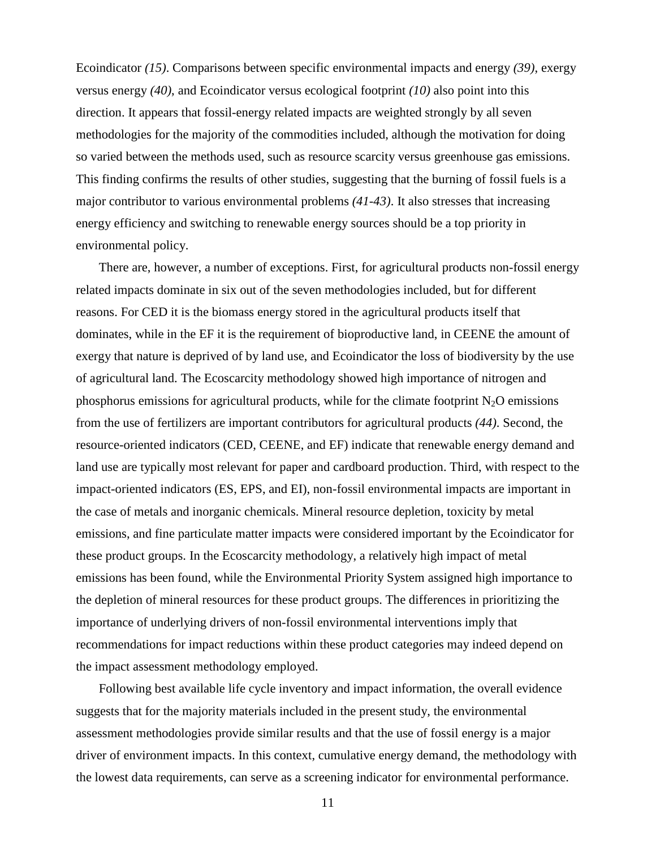Ecoindicator *(15)*. Comparisons between specific environmental impacts and energy *(39)*, exergy versus energy *(40)*, and Ecoindicator versus ecological footprint *(10)* also point into this direction. It appears that fossil-energy related impacts are weighted strongly by all seven methodologies for the majority of the commodities included, although the motivation for doing so varied between the methods used, such as resource scarcity versus greenhouse gas emissions. This finding confirms the results of other studies, suggesting that the burning of fossil fuels is a major contributor to various environmental problems *(41-43)*. It also stresses that increasing energy efficiency and switching to renewable energy sources should be a top priority in environmental policy.

There are, however, a number of exceptions. First, for agricultural products non-fossil energy related impacts dominate in six out of the seven methodologies included, but for different reasons. For CED it is the biomass energy stored in the agricultural products itself that dominates, while in the EF it is the requirement of bioproductive land, in CEENE the amount of exergy that nature is deprived of by land use, and Ecoindicator the loss of biodiversity by the use of agricultural land. The Ecoscarcity methodology showed high importance of nitrogen and phosphorus emissions for agricultural products, while for the climate footprint  $N_2O$  emissions from the use of fertilizers are important contributors for agricultural products *(44)*. Second, the resource-oriented indicators (CED, CEENE, and EF) indicate that renewable energy demand and land use are typically most relevant for paper and cardboard production. Third, with respect to the impact-oriented indicators (ES, EPS, and EI), non-fossil environmental impacts are important in the case of metals and inorganic chemicals. Mineral resource depletion, toxicity by metal emissions, and fine particulate matter impacts were considered important by the Ecoindicator for these product groups. In the Ecoscarcity methodology, a relatively high impact of metal emissions has been found, while the Environmental Priority System assigned high importance to the depletion of mineral resources for these product groups. The differences in prioritizing the importance of underlying drivers of non-fossil environmental interventions imply that recommendations for impact reductions within these product categories may indeed depend on the impact assessment methodology employed.

Following best available life cycle inventory and impact information, the overall evidence suggests that for the majority materials included in the present study, the environmental assessment methodologies provide similar results and that the use of fossil energy is a major driver of environment impacts. In this context, cumulative energy demand, the methodology with the lowest data requirements, can serve as a screening indicator for environmental performance.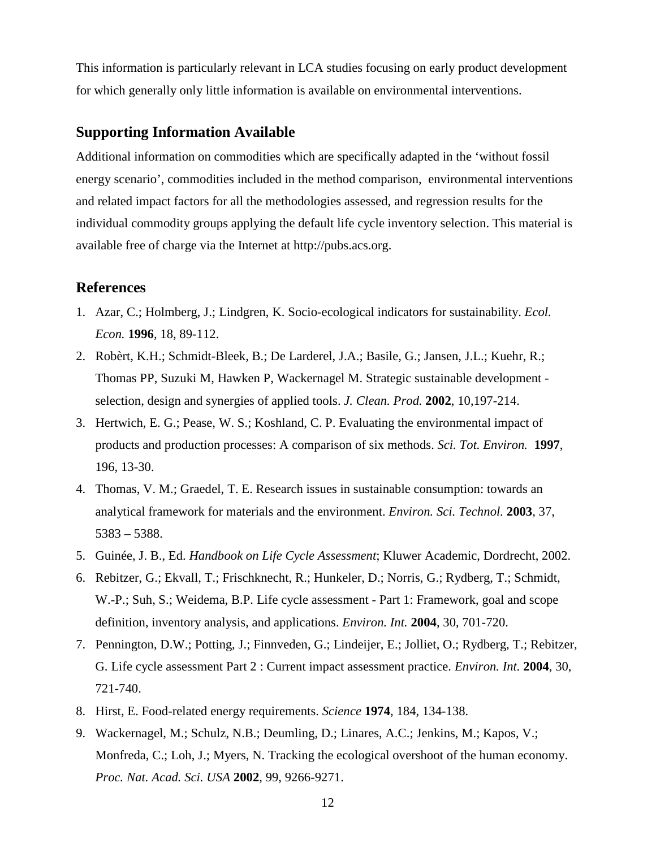This information is particularly relevant in LCA studies focusing on early product development for which generally only little information is available on environmental interventions.

## **Supporting Information Available**

Additional information on commodities which are specifically adapted in the 'without fossil energy scenario', commodities included in the method comparison, environmental interventions and related impact factors for all the methodologies assessed, and regression results for the individual commodity groups applying the default life cycle inventory selection. This material is available free of charge via the Internet at http://pubs.acs.org.

#### **References**

- 1. Azar, C.; Holmberg, J.; Lindgren, K. Socio-ecological indicators for sustainability. *Ecol. Econ.* **1996**, 18, 89-112.
- 2. Robèrt, K.H.; Schmidt-Bleek, B.; De Larderel, J.A.; Basile, G.; Jansen, J.L.; Kuehr, R.; Thomas PP, Suzuki M, Hawken P, Wackernagel M. Strategic sustainable development selection, design and synergies of applied tools. *J. Clean. Prod.* **2002**, 10,197-214.
- 3. Hertwich, E. G.; Pease, W. S.; Koshland, C. P. Evaluating the environmental impact of products and production processes: A comparison of six methods. *Sci. Tot. Environ.* **1997**, 196, 13-30.
- 4. Thomas, V. M.; Graedel, T. E. Research issues in sustainable consumption: towards an analytical framework for materials and the environment. *Environ. Sci. Technol.* **2003**, 37, 5383 – 5388.
- 5. Guinée, J. B., Ed. *Handbook on Life Cycle Assessment*; Kluwer Academic, Dordrecht, 2002.
- 6. Rebitzer, G.; Ekvall, T.; Frischknecht, R.; Hunkeler, D.; Norris, G.; Rydberg, T.; Schmidt, W.-P.; Suh, S.; Weidema, B.P. Life cycle assessment - Part 1: Framework, goal and scope definition, inventory analysis, and applications. *Environ. Int.* **2004**, 30, 701-720.
- 7. Pennington, D.W.; Potting, J.; Finnveden, G.; Lindeijer, E.; Jolliet, O.; Rydberg, T.; Rebitzer, G. Life cycle assessment Part 2 : Current impact assessment practice. *Environ. Int.* **2004**, 30, 721-740.
- 8. Hirst, E. Food-related energy requirements. *Science* **1974**, 184, 134-138.
- 9. Wackernagel, M.; Schulz, N.B.; Deumling, D.; Linares, A.C.; Jenkins, M.; Kapos, V.; Monfreda, C.; Loh, J.; Myers, N. Tracking the ecological overshoot of the human economy. *Proc. Nat. Acad. Sci. USA* **2002***,* 99, 9266-9271.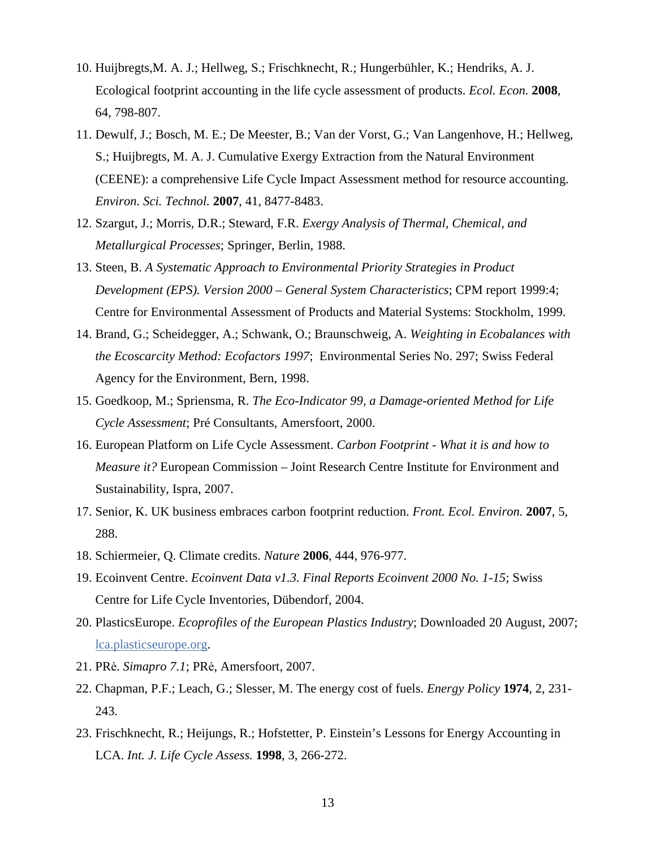- 10. Huijbregts,M. A. J.; Hellweg, S.; Frischknecht, R.; Hungerbühler, K.; Hendriks, A. J. Ecological footprint accounting in the life cycle assessment of products. *Ecol. Econ.* **2008**, 64, 798-807.
- 11. Dewulf, J.; Bosch, M. E.; De Meester, B.; Van der Vorst, G.; Van Langenhove, H.; Hellweg, S.; Huijbregts, M. A. J. Cumulative Exergy Extraction from the Natural Environment (CEENE): a comprehensive Life Cycle Impact Assessment method for resource accounting. *Environ. Sci. Technol.* **2007**, 41, 8477-8483.
- 12. Szargut, J.; Morris, D.R.; Steward, F.R. *Exergy Analysis of Thermal, Chemical, and Metallurgical Processes*; Springer, Berlin, 1988.
- 13. Steen, B. *A Systematic Approach to Environmental Priority Strategies in Product Development (EPS). Version 2000 – General System Characteristics*; CPM report 1999:4; Centre for Environmental Assessment of Products and Material Systems: Stockholm, 1999.
- 14. Brand, G.; Scheidegger, A.; Schwank, O.; Braunschweig, A. *Weighting in Ecobalances with the Ecoscarcity Method: Ecofactors 1997*; Environmental Series No. 297; Swiss Federal Agency for the Environment, Bern, 1998.
- 15. Goedkoop, M.; Spriensma, R. *The Eco-Indicator 99, a Damage-oriented Method for Life Cycle Assessment*; Pré Consultants, Amersfoort, 2000.
- 16. European Platform on Life Cycle Assessment. *Carbon Footprint What it is and how to Measure it?* European Commission – Joint Research Centre Institute for Environment and Sustainability, Ispra, 2007.
- 17. Senior, K. UK business embraces carbon footprint reduction. *Front. Ecol. Environ.* **2007**, 5, 288.
- 18. Schiermeier, Q. Climate credits. *Nature* **2006**, 444, 976-977.
- 19. Ecoinvent Centre. *Ecoinvent Data v1.3. Final Reports Ecoinvent 2000 No. 1-15*; Swiss Centre for Life Cycle Inventories, Dübendorf, 2004.
- 20. PlasticsEurope. *Ecoprofiles of the European Plastics Industry*; Downloaded 20 August, 2007; lca.plasticseurope.org.
- 21. PR÷. *Simapro 7.1*; PR÷, Amersfoort, 2007.
- 22. Chapman, P.F.; Leach, G.; Slesser, M. The energy cost of fuels. *Energy Policy* **1974**, 2, 231- 243.
- 23. Frischknecht, R.; Heijungs, R.; Hofstetter, P. Einstein's Lessons for Energy Accounting in LCA. *Int. J. Life Cycle Assess.* **1998**, 3, 266-272.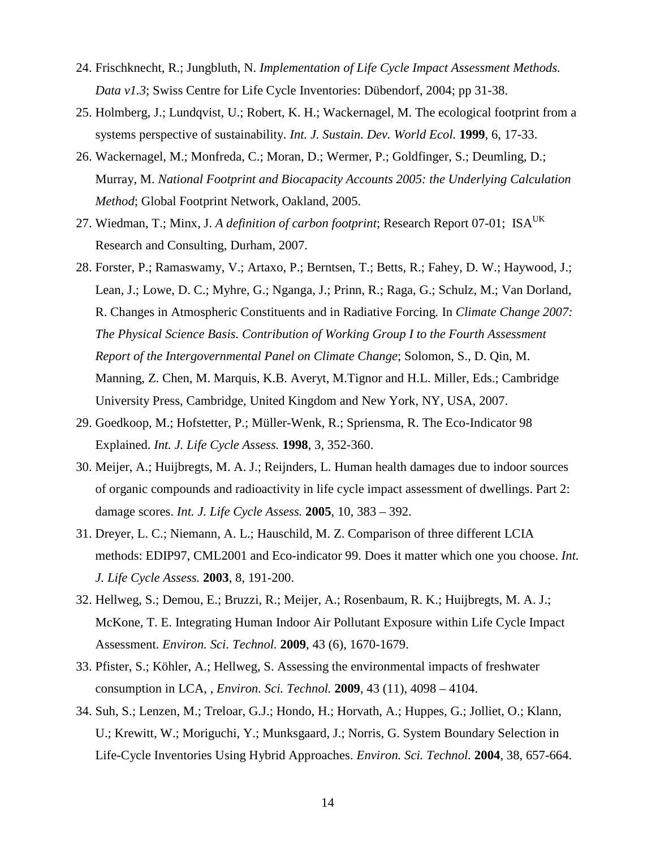- 24. Frischknecht, R.; Jungbluth, N. *Implementation of Life Cycle Impact Assessment Methods. Data v1.3*; Swiss Centre for Life Cycle Inventories: Dübendorf, 2004; pp 31-38.
- 25. Holmberg, J.; Lundqvist, U.; Robert, K. H.; Wackernagel, M. The ecological footprint from a systems perspective of sustainability. *Int. J. Sustain. Dev. World Ecol.* **1999**, 6, 17-33.
- 26. Wackernagel, M.; Monfreda, C.; Moran, D.; Wermer, P.; Goldfinger, S.; Deumling, D.; Murray, M. *National Footprint and Biocapacity Accounts 2005: the Underlying Calculation Method*; Global Footprint Network, Oakland, 2005.
- 27. Wiedman, T.; Minx, J. A definition of carbon footprint; Research Report 07-01; ISA<sup>UK</sup> Research and Consulting, Durham, 2007.
- 28. Forster, P.; Ramaswamy, V.; Artaxo, P.; Berntsen, T.; Betts, R.; Fahey, D. W.; Haywood, J.; Lean, J.; Lowe, D. C.; Myhre, G.; Nganga, J.; Prinn, R.; Raga, G.; Schulz, M.; Van Dorland, R. Changes in Atmospheric Constituents and in Radiative Forcing*.* In *Climate Change 2007: The Physical Science Basis. Contribution of Working Group I to the Fourth Assessment Report of the Intergovernmental Panel on Climate Change*; Solomon, S., D. Qin, M. Manning, Z. Chen, M. Marquis, K.B. Averyt, M.Tignor and H.L. Miller, Eds.; Cambridge University Press, Cambridge, United Kingdom and New York, NY, USA, 2007.
- 29. Goedkoop, M.; Hofstetter, P.; Müller-Wenk, R.; Spriensma, R. The Eco-Indicator 98 Explained. *Int. J. Life Cycle Assess.* **1998**, 3, 352-360.
- 30. Meijer, A.; Huijbregts, M. A. J.; Reijnders, L. Human health damages due to indoor sources of organic compounds and radioactivity in life cycle impact assessment of dwellings. Part 2: damage scores. *Int. J. Life Cycle Assess.* **2005**, 10, 383 – 392.
- 31. Dreyer, L. C.; Niemann, A. L.; Hauschild, M. Z. Comparison of three different LCIA methods: EDIP97, CML2001 and Eco-indicator 99. Does it matter which one you choose. *Int. J. Life Cycle Assess.* **2003**, 8, 191-200.
- 32. Hellweg, S.; Demou, E.; Bruzzi, R.; Meijer, A.; Rosenbaum, R. K.; Huijbregts, M. A. J.; McKone, T. E. Integrating Human Indoor Air Pollutant Exposure within Life Cycle Impact Assessment. *Environ. Sci. Technol.* **2009**, 43 (6), 1670-1679.
- 33. Pfister, S.; Köhler, A.; Hellweg, S. Assessing the environmental impacts of freshwater consumption in LCA, , *Environ. Sci. Technol.* **2009**, 43 (11), 4098 – 4104.
- 34. Suh, S.; Lenzen, M.; Treloar, G.J.; Hondo, H.; Horvath, A.; Huppes, G.; Jolliet, O.; Klann, U.; Krewitt, W.; Moriguchi, Y.; Munksgaard, J.; Norris, G. System Boundary Selection in Life-Cycle Inventories Using Hybrid Approaches. *Environ. Sci. Technol.* **2004**, 38, 657-664.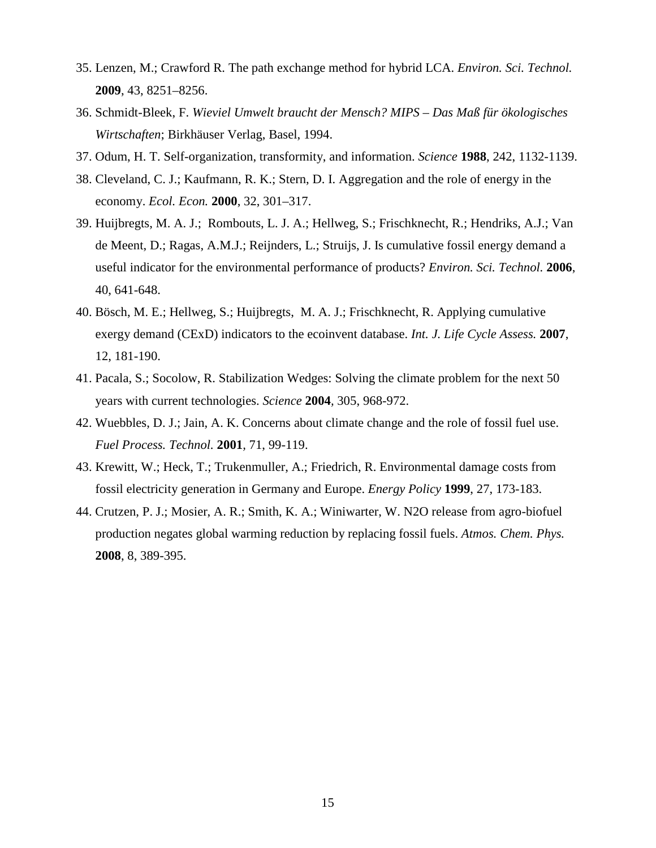- 35. Lenzen, M.; Crawford R. The path exchange method for hybrid LCA. *Environ. Sci. Technol.* **2009**, 43, 8251–8256.
- 36. Schmidt-Bleek, F. *Wieviel Umwelt braucht der Mensch? MIPS Das Maß für ökologisches Wirtschaften*; Birkhäuser Verlag, Basel, 1994.
- 37. Odum, H. T. Self-organization, transformity, and information. *Science* **1988**, 242, 1132-1139.
- 38. Cleveland, C. J.; Kaufmann, R. K.; Stern, D. I. Aggregation and the role of energy in the economy. *Ecol. Econ.* **2000**, 32, 301–317.
- 39. Huijbregts, M. A. J.; Rombouts, L. J. A.; Hellweg, S.; Frischknecht, R.; Hendriks, A.J.; Van de Meent, D.; Ragas, A.M.J.; Reijnders, L.; Struijs, J. Is cumulative fossil energy demand a useful indicator for the environmental performance of products? *Environ. Sci. Technol.* **2006**, 40, 641-648.
- 40. Bösch, M. E.; Hellweg, S.; Huijbregts, M. A. J.; Frischknecht, R. Applying cumulative exergy demand (CExD) indicators to the ecoinvent database. *Int. J. Life Cycle Assess.* **2007**, 12, 181-190.
- 41. Pacala, S.; Socolow, R. Stabilization Wedges: Solving the climate problem for the next 50 years with current technologies. *Science* **2004***,* 305, 968-972.
- 42. Wuebbles, D. J.; Jain, A. K. Concerns about climate change and the role of fossil fuel use. *Fuel Process. Technol.* **2001***,* 71, 99-119.
- 43. Krewitt, W.; Heck, T.; Trukenmuller, A.; Friedrich, R. Environmental damage costs from fossil electricity generation in Germany and Europe. *Energy Policy* **1999**, 27, 173-183.
- 44. Crutzen, P. J.; Mosier, A. R.; Smith, K. A.; Winiwarter, W. N2O release from agro-biofuel production negates global warming reduction by replacing fossil fuels. *Atmos. Chem. Phys.*  **2008**, 8, 389-395.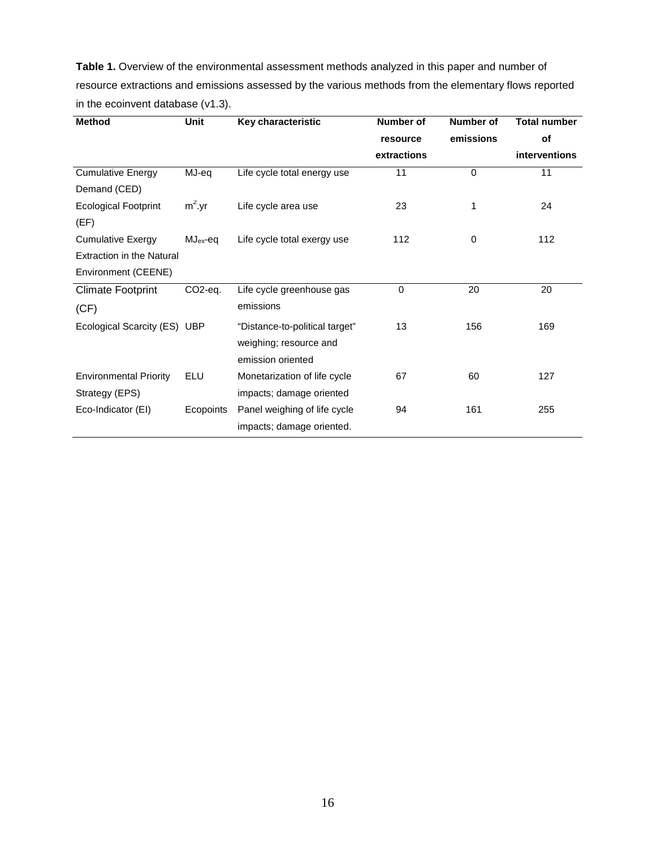**Table 1.** Overview of the environmental assessment methods analyzed in this paper and number of resource extractions and emissions assessed by the various methods from the elementary flows reported in the ecoinvent database (v1.3).

| <b>Method</b>                    | Unit                 | Key characteristic             | <b>Number of</b> | <b>Number of</b> | <b>Total number</b>  |
|----------------------------------|----------------------|--------------------------------|------------------|------------------|----------------------|
|                                  |                      |                                | resource         | emissions        | of                   |
|                                  |                      |                                | extractions      |                  | <b>interventions</b> |
| <b>Cumulative Energy</b>         | MJ-eq                | Life cycle total energy use    | 11               | $\Omega$         | 11                   |
| Demand (CED)                     |                      |                                |                  |                  |                      |
| <b>Ecological Footprint</b>      | $m^2$ .yr            | Life cycle area use            | 23               | 1                | 24                   |
| (EF)                             |                      |                                |                  |                  |                      |
| <b>Cumulative Exergy</b>         | $MJ_{ex}$ -eq        | Life cycle total exergy use    | 112              | 0                | 112                  |
| <b>Extraction in the Natural</b> |                      |                                |                  |                  |                      |
| Environment (CEENE)              |                      |                                |                  |                  |                      |
| <b>Climate Footprint</b>         | CO <sub>2</sub> -eq. | Life cycle greenhouse gas      | $\Omega$         | 20               | 20                   |
| (CF)                             |                      | emissions                      |                  |                  |                      |
| Ecological Scarcity (ES) UBP     |                      | "Distance-to-political target" | 13               | 156              | 169                  |
|                                  |                      | weighing; resource and         |                  |                  |                      |
|                                  |                      | emission oriented              |                  |                  |                      |
| <b>Environmental Priority</b>    | ELU                  | Monetarization of life cycle   | 67               | 60               | 127                  |
| Strategy (EPS)                   |                      | impacts; damage oriented       |                  |                  |                      |
| Eco-Indicator (EI)               | Ecopoints            | Panel weighing of life cycle   | 94               | 161              | 255                  |
|                                  |                      | impacts; damage oriented.      |                  |                  |                      |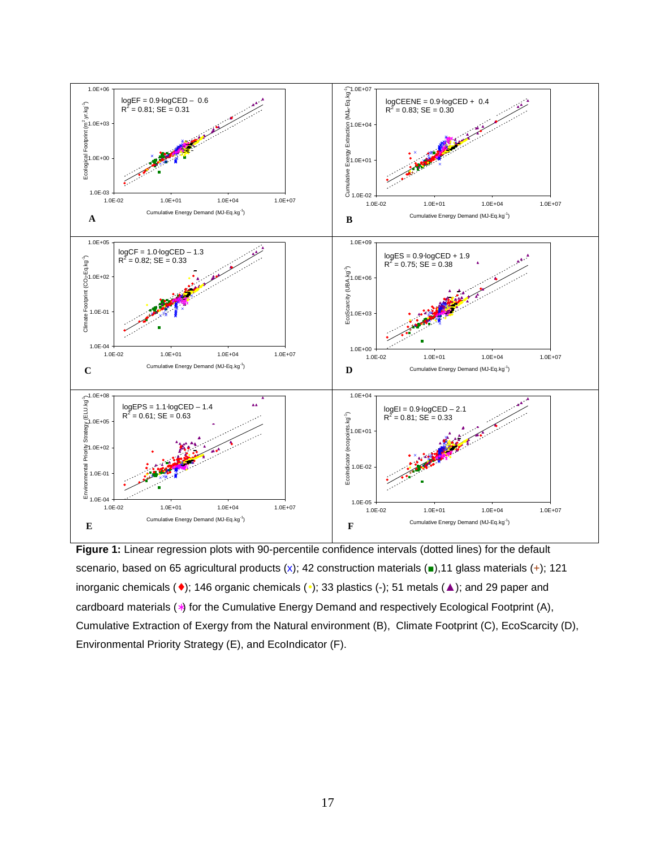

**Figure 1:** Linear regression plots with 90-percentile confidence intervals (dotted lines) for the default scenario, based on 65 agricultural products  $(x)$ ; 42 construction materials  $($ a),11 glass materials  $(+)$ ; 121 inorganic chemicals (♦); 146 organic chemicals (•); 33 plastics (-); 51 metals (▲); and 29 paper and cardboard materials (∗) for the Cumulative Energy Demand and respectively Ecological Footprint (A), Cumulative Extraction of Exergy from the Natural environment (B), Climate Footprint (C), EcoScarcity (D), Environmental Priority Strategy (E), and EcoIndicator (F).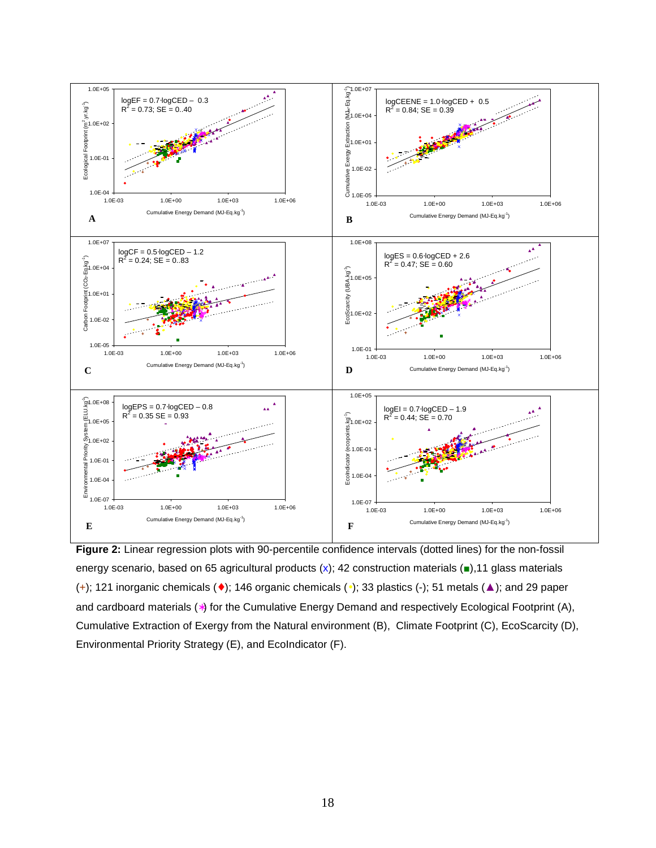

**Figure 2:** Linear regression plots with 90-percentile confidence intervals (dotted lines) for the non-fossil energy scenario, based on 65 agricultural products (x); 42 construction materials ( $\blacksquare$ ), 11 glass materials (+); 121 inorganic chemicals ( $\bullet$ ); 146 organic chemicals ( $\bullet$ ); 33 plastics (-); 51 metals ( $\blacktriangle$ ); and 29 paper and cardboard materials (∗) for the Cumulative Energy Demand and respectively Ecological Footprint (A), Cumulative Extraction of Exergy from the Natural environment (B), Climate Footprint (C), EcoScarcity (D), Environmental Priority Strategy (E), and EcoIndicator (F).